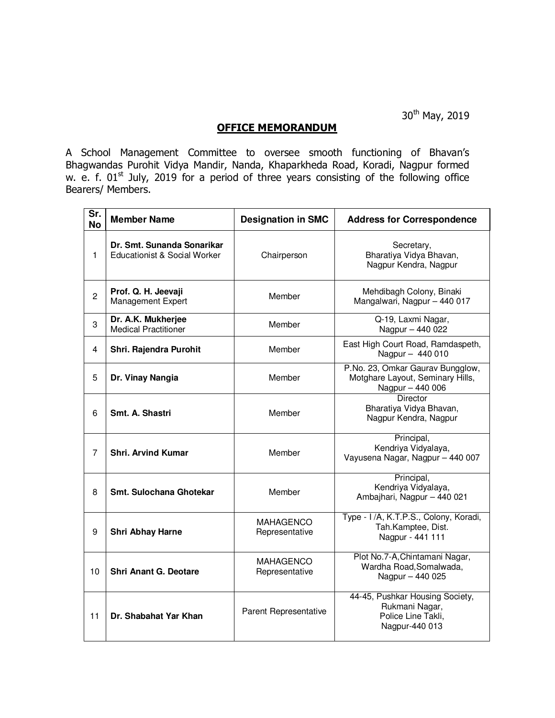30<sup>th</sup> May, 2019

## **OFFICE MEMORANDUM**

A School Management Committee to oversee smooth functioning of Bhavan's Bhagwandas Purohit Vidya Mandir, Nanda, Khaparkheda Road, Koradi, Nagpur formed w. e. f.  $01<sup>st</sup>$  July, 2019 for a period of three years consisting of the following office Bearers/ Members.

| Sr.<br><b>No</b> | <b>Member Name</b>                                         | <b>Designation in SMC</b>          | <b>Address for Correspondence</b>                                                         |
|------------------|------------------------------------------------------------|------------------------------------|-------------------------------------------------------------------------------------------|
| 1                | Dr. Smt. Sunanda Sonarikar<br>Educationist & Social Worker | Chairperson                        | Secretary,<br>Bharatiya Vidya Bhavan,<br>Nagpur Kendra, Nagpur                            |
| $\overline{c}$   | Prof. Q. H. Jeevaji<br>Management Expert                   | Member                             | Mehdibagh Colony, Binaki<br>Mangalwari, Nagpur - 440 017                                  |
| 3                | Dr. A.K. Mukherjee<br><b>Medical Practitioner</b>          | Member                             | Q-19, Laxmi Nagar,<br>Nagpur - 440 022                                                    |
| 4                | Shri. Rajendra Purohit                                     | Member                             | East High Court Road, Ramdaspeth,<br>Nagpur - 440 010                                     |
| 5                | Dr. Vinay Nangia                                           | Member                             | P.No. 23, Omkar Gaurav Bungglow,<br>Motghare Layout, Seminary Hills,<br>Nagpur - 440 006  |
| 6                | Smt. A. Shastri                                            | Member                             | <b>Director</b><br>Bharatiya Vidya Bhavan,<br>Nagpur Kendra, Nagpur                       |
| 7                | <b>Shri. Arvind Kumar</b>                                  | Member                             | Principal,<br>Kendriya Vidyalaya,<br>Vayusena Nagar, Nagpur - 440 007                     |
| 8                | <b>Smt. Sulochana Ghotekar</b>                             | Member                             | Principal,<br>Kendriya Vidyalaya,<br>Ambajhari, Nagpur - 440 021                          |
| 9                | Shri Abhay Harne                                           | <b>MAHAGENCO</b><br>Representative | Type - I/A, K.T.P.S., Colony, Koradi,<br>Tah.Kamptee, Dist.<br>Nagpur - 441 111           |
| 10               | <b>Shri Anant G. Deotare</b>                               | MAHAGENCO<br>Representative        | Plot No.7-A, Chintamani Nagar,<br>Wardha Road, Somalwada,<br>Nagpur - 440 025             |
| 11               | Dr. Shabahat Yar Khan                                      | Parent Representative              | 44-45, Pushkar Housing Society,<br>Rukmani Nagar,<br>Police Line Takli,<br>Nagpur-440 013 |